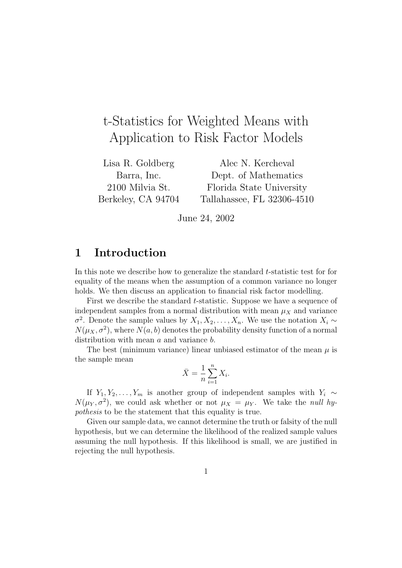# t-Statistics for Weighted Means with Application to Risk Factor Models

Lisa R. Goldberg Barra, Inc. 2100 Milvia St. Berkeley, CA 94704

Alec N. Kercheval Dept. of Mathematics Florida State University Tallahassee, FL 32306-4510

June 24, 2002

## 1 Introduction

In this note we describe how to generalize the standard t-statistic test for for equality of the means when the assumption of a common variance no longer holds. We then discuss an application to financial risk factor modelling.

First we describe the standard t-statistic. Suppose we have a sequence of independent samples from a normal distribution with mean  $\mu_X$  and variance  $\sigma^2$ . Denote the sample values by  $X_1, X_2, \ldots, X_n$ . We use the notation  $X_i \sim$  $N(\mu_X, \sigma^2)$ , where  $N(a, b)$  denotes the probability density function of a normal distribution with mean a and variance b.

The best (minimum variance) linear unbiased estimator of the mean  $\mu$  is the sample mean

$$
\bar{X} = \frac{1}{n} \sum_{i=1}^{n} X_i.
$$

If  $Y_1, Y_2, \ldots, Y_m$  is another group of independent samples with  $Y_i \sim$  $N(\mu_Y, \sigma^2)$ , we could ask whether or not  $\mu_X = \mu_Y$ . We take the *null hy*pothesis to be the statement that this equality is true.

Given our sample data, we cannot determine the truth or falsity of the null hypothesis, but we can determine the likelihood of the realized sample values assuming the null hypothesis. If this likelihood is small, we are justified in rejecting the null hypothesis.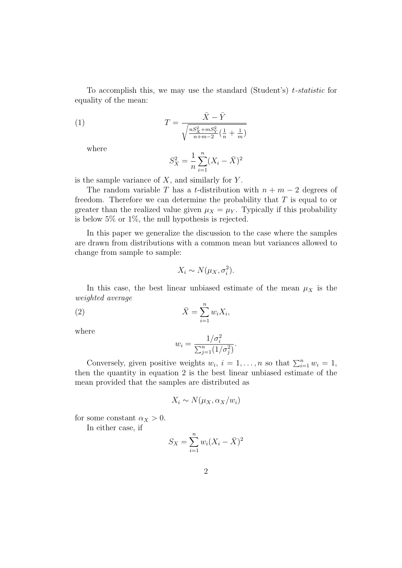To accomplish this, we may use the standard (Student's)  $t$ -statistic forequality of the mean:

(1) 
$$
T = \frac{\bar{X} - \bar{Y}}{\sqrt{\frac{n S_X^2 + m S_Y^2}{n + m - 2} \left(\frac{1}{n} + \frac{1}{m}\right)}}
$$

where

$$
S_X^2 = \frac{1}{n} \sum_{i=1}^n (X_i - \bar{X})^2
$$

is the sample variance of  $X$ , and similarly for  $Y$ .

The random variable T has a t-distribution with  $n + m - 2$  degrees of freedom. Therefore we can determine the probability that  $T$  is equal to or greater than the realized value given  $\mu_X = \mu_Y$ . Typically if this probability is below 5% or 1%, the null hypothesis is rejected.

In this paper we generalize the discussion to the case where the samples are drawn from distributions with a common mean but variances allowed to change from sample to sample:

$$
X_i \sim N(\mu_X, \sigma_i^2).
$$

In this case, the best linear unbiased estimate of the mean  $\mu_X$  is the weighted average

$$
\bar{X} = \sum_{i=1}^{n} w_i X_i,
$$

where

$$
w_i = \frac{1/\sigma_i^2}{\sum_{j=1}^n (1/\sigma_j^2)}.
$$

Conversely, given positive weights  $w_i$ ,  $i = 1, ..., n$  so that  $\sum_{i=1}^n w_i = 1$ , then the quantity in equation 2 is the best linear unbiased estimate of the mean provided that the samples are distributed as

$$
X_i \sim N(\mu_X, \alpha_X/w_i)
$$

for some constant  $\alpha_X > 0$ .

In either case, if

$$
S_X = \sum_{i=1}^n w_i (X_i - \bar{X})^2
$$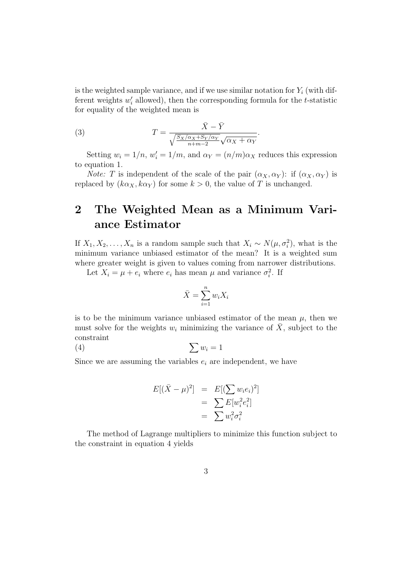is the weighted sample variance, and if we use similar notation for  $Y_i$  (with different weights  $w_i'$  $i<sub>i</sub>$  allowed), then the corresponding formula for the t-statistic for equality of the weighted mean is

(3) 
$$
T = \frac{\bar{X} - \bar{Y}}{\sqrt{\frac{S_X/\alpha_X + S_Y/\alpha_Y}{n + m - 2}}\sqrt{\alpha_X + \alpha_Y}}.
$$

Setting  $w_i = 1/n$ ,  $w'_i = 1/m$ , and  $\alpha_Y = (n/m)\alpha_X$  reduces this expression to equation 1.

*Note:* T is independent of the scale of the pair  $(\alpha_X, \alpha_Y)$ : if  $(\alpha_X, \alpha_Y)$  is replaced by  $(k\alpha_X, k\alpha_Y)$  for some  $k > 0$ , the value of T is unchanged.

## 2 The Weighted Mean as a Minimum Variance Estimator

If  $X_1, X_2, \ldots, X_n$  is a random sample such that  $X_i \sim N(\mu, \sigma_i^2)$ , what is the minimum variance unbiased estimator of the mean? It is a weighted sum where greater weight is given to values coming from narrower distributions.

Let  $X_i = \mu + e_i$  where  $e_i$  has mean  $\mu$  and variance  $\sigma_i^2$ . If

$$
\bar{X} = \sum_{i=1}^{n} w_i X_i
$$

is to be the minimum variance unbiased estimator of the mean  $\mu$ , then we must solve for the weights  $w_i$  minimizing the variance of  $\overline{X}$ , subject to the constraint

$$
(4) \qquad \qquad \sum w_i = 1
$$

Since we are assuming the variables  $e_i$  are independent, we have

$$
E[(\bar{X} - \mu)^2] = E[(\sum w_i e_i)^2]
$$
  
= 
$$
\sum E[w_i^2 e_i^2]
$$
  
= 
$$
\sum w_i^2 \sigma_i^2
$$

The method of Lagrange multipliers to minimize this function subject to the constraint in equation 4 yields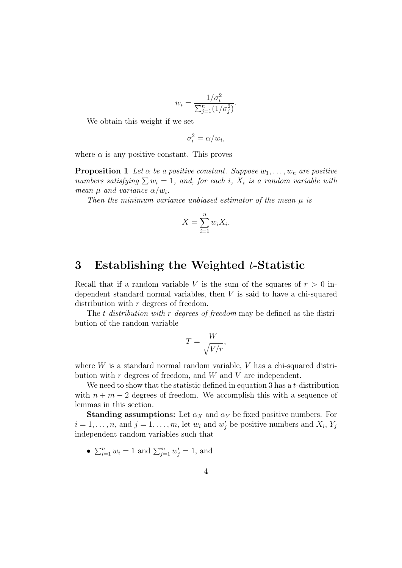$$
w_i = \frac{1/\sigma_i^2}{\sum_{j=1}^n (1/\sigma_j^2)}.
$$

We obtain this weight if we set

$$
\sigma_i^2 = \alpha/w_i,
$$

where  $\alpha$  is any positive constant. This proves

**Proposition 1** Let  $\alpha$  be a positive constant. Suppose  $w_1, \ldots, w_n$  are positive numbers satisfying  $\sum w_i = 1$ , and, for each i,  $X_i$  is a random variable with mean  $\mu$  and variance  $\alpha/w_i$ .

Then the minimum variance unbiased estimator of the mean  $\mu$  is

$$
\bar{X} = \sum_{i=1}^{n} w_i X_i.
$$

## 3 Establishing the Weighted t-Statistic

Recall that if a random variable V is the sum of the squares of  $r > 0$  independent standard normal variables, then V is said to have a chi-squared distribution with r degrees of freedom.

The *t*-distribution with r degrees of freedom may be defined as the distribution of the random variable

$$
T = \frac{W}{\sqrt{V/r}},
$$

where  $W$  is a standard normal random variable,  $V$  has a chi-squared distribution with  $r$  degrees of freedom, and  $W$  and  $V$  are independent.

We need to show that the statistic defined in equation 3 has a  $t$ -distribution with  $n + m - 2$  degrees of freedom. We accomplish this with a sequence of lemmas in this section.

**Standing assumptions:** Let  $\alpha_X$  and  $\alpha_Y$  be fixed positive numbers. For  $i = 1, \ldots, n$ , and  $j = 1, \ldots, m$ , let  $w_i$  and  $w'_j$  be positive numbers and  $X_i, Y_j$ independent random variables such that

•  $\sum_{i=1}^{n} w_i = 1$  and  $\sum_{j=1}^{m} w'_j = 1$ , and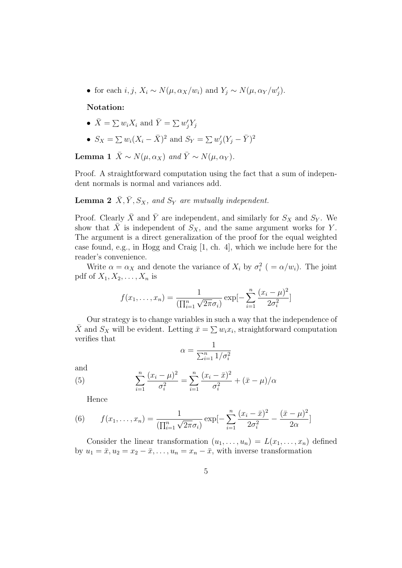• for each *i*, *j*,  $X_i \sim N(\mu, \alpha_X/w_i)$  and  $Y_j \sim N(\mu, \alpha_Y/w_j')$ .

#### Notation:

- $\bar{X} = \sum w_i X_i$  and  $\bar{Y} = \sum w'_j Y_j$
- $S_X = \sum w_i (X_i \bar{X})^2$  and  $S_Y = \sum w_i'$  $\bar{y}'_j(Y_j-\bar{Y})^2$

**Lemma 1**  $\bar{X} \sim N(\mu, \alpha_X)$  and  $\bar{Y} \sim N(\mu, \alpha_Y)$ .

Proof. A straightforward computation using the fact that a sum of independent normals is normal and variances add.

#### **Lemma 2**  $\bar{X}, \bar{Y}, S_X$ , and  $S_Y$  are mutually independent.

Proof. Clearly  $\bar{X}$  and  $\bar{Y}$  are independent, and similarly for  $S_X$  and  $S_Y$ . We show that  $\bar{X}$  is independent of  $S_X$ , and the same argument works for Y. The argument is a direct generalization of the proof for the equal weighted case found, e.g., in Hogg and Craig [1, ch. 4], which we include here for the reader's convenience.

Write  $\alpha = \alpha_X$  and denote the variance of  $X_i$  by  $\sigma_i^2$  ( =  $\alpha/w_i$ ). The joint pdf of  $X_1, X_2, \ldots, X_n$  is

$$
f(x_1,...,x_n) = \frac{1}{(\prod_{i=1}^n \sqrt{2\pi}\sigma_i)} \exp[-\sum_{i=1}^n \frac{(x_i - \mu)^2}{2\sigma_i^2}]
$$

Our strategy is to change variables in such a way that the independence of  $\bar{X}$  and  $S_X$  will be evident. Letting  $\bar{x} = \sum w_i x_i$ , straightforward computation verifies that

$$
\alpha = \frac{1}{\sum_{i=1}^{n} 1/\sigma_i^2}
$$

and

(5) 
$$
\sum_{i=1}^{n} \frac{(x_i - \mu)^2}{\sigma_i^2} = \sum_{i=1}^{n} \frac{(x_i - \bar{x})^2}{\sigma_i^2} + (\bar{x} - \mu)/\alpha
$$

Hence

(6) 
$$
f(x_1,...,x_n) = \frac{1}{(\prod_{i=1}^n \sqrt{2\pi}\sigma_i)} \exp[-\sum_{i=1}^n \frac{(x_i - \bar{x})^2}{2\sigma_i^2} - \frac{(\bar{x} - \mu)^2}{2\alpha}]
$$

Consider the linear transformation  $(u_1, \ldots, u_n) = L(x_1, \ldots, x_n)$  defined by  $u_1 = \bar{x}, u_2 = x_2 - \bar{x}, \ldots, u_n = x_n - \bar{x}$ , with inverse transformation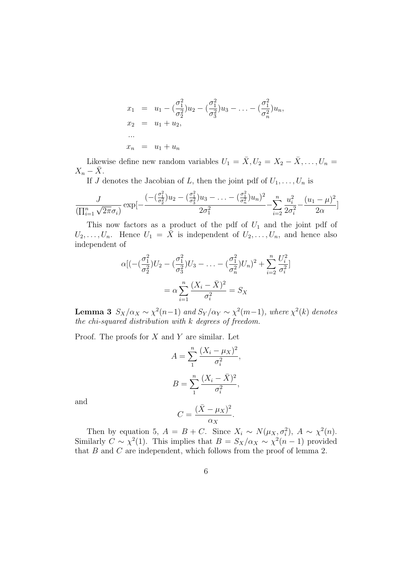$$
x_1 = u_1 - \left(\frac{\sigma_1^2}{\sigma_2^2}\right)u_2 - \left(\frac{\sigma_1^2}{\sigma_3^2}\right)u_3 - \dots - \left(\frac{\sigma_1^2}{\sigma_n^2}\right)u_n,
$$
  
\n
$$
x_2 = u_1 + u_2,
$$
  
\n...  
\n
$$
x_n = u_1 + u_n
$$

Likewise define new random variables  $U_1 = \overline{X}, U_2 = X_2 - \overline{X}, \ldots, U_n =$  $X_n - \bar{X}$ .

If J denotes the Jacobian of L, then the joint pdf of  $U_1, \ldots, U_n$  is

$$
\frac{J}{(\prod_{i=1}^{n} \sqrt{2\pi}\sigma_i)} \exp[-\frac{(-(\frac{\sigma_1^2}{\sigma_2^2})u_2 - (\frac{\sigma_1^2}{\sigma_3^2})u_3 - \dots - (\frac{\sigma_1^2}{\sigma_n^2})u_n)^2}{2\sigma_1^2} - \sum_{i=2}^{n} \frac{u_i^2}{2\sigma_i^2} - \frac{(u_1 - \mu)^2}{2\alpha}]
$$

This now factors as a product of the pdf of  $U_1$  and the joint pdf of  $U_2, \ldots, U_n$ . Hence  $U_1 = \overline{X}$  is independent of  $U_2, \ldots, U_n$ , and hence also independent of

$$
\alpha[(-\left(\frac{\sigma_1^2}{\sigma_2^2}\right)U_2 - \left(\frac{\sigma_1^2}{\sigma_3^2}\right)U_3 - \dots - \left(\frac{\sigma_1^2}{\sigma_n^2}\right)U_n)^2 + \sum_{i=2}^n \frac{U_i^2}{\sigma_i^2}]
$$

$$
= \alpha \sum_{i=1}^n \frac{(X_i - \bar{X})^2}{\sigma_i^2} = S_X
$$

**Lemma 3**  $S_X/\alpha_X \sim \chi^2(n-1)$  and  $S_Y/\alpha_Y \sim \chi^2(m-1)$ , where  $\chi^2(k)$  denotes the chi-squared distribution with k degrees of freedom.

Proof. The proofs for  $X$  and  $Y$  are similar. Let

$$
A = \sum_{1}^{n} \frac{(X_i - \mu_X)^2}{\sigma_i^2},
$$

$$
B = \sum_{1}^{n} \frac{(X_i - \bar{X})^2}{\sigma_i^2},
$$

and

$$
C = \frac{(\bar{X} - \mu_X)^2}{\alpha_X}.
$$

Then by equation 5,  $A = B + C$ . Since  $X_i \sim N(\mu_X, \sigma_i^2)$ ,  $A \sim \chi^2(n)$ . Similarly  $C \sim \chi^2(1)$ . This implies that  $B = S_X/\alpha_X \sim \chi^2(n-1)$  provided that B and C are independent, which follows from the proof of lemma 2.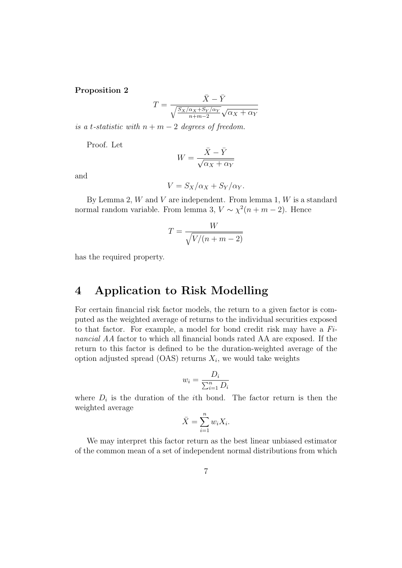#### Proposition 2

$$
T = \frac{\bar{X} - \bar{Y}}{\sqrt{\frac{S_X/\alpha_X + S_Y/\alpha_Y}{n + m - 2}}\sqrt{\alpha_X + \alpha_Y}}
$$

is a t-statistic with  $n + m - 2$  degrees of freedom.

Proof. Let

$$
W = \frac{\bar{X} - \bar{Y}}{\sqrt{\alpha_X + \alpha_Y}}
$$

and

$$
V = S_X/\alpha_X + S_Y/\alpha_Y.
$$

By Lemma 2,  $W$  and  $V$  are independent. From lemma 1,  $W$  is a standard normal random variable. From lemma 3,  $V \sim \chi^2(n+m-2)$ . Hence

$$
T = \frac{W}{\sqrt{V/(n+m-2)}}
$$

has the required property.

### 4 Application to Risk Modelling

For certain financial risk factor models, the return to a given factor is computed as the weighted average of returns to the individual securities exposed to that factor. For example, a model for bond credit risk may have a Financial AA factor to which all financial bonds rated AA are exposed. If the return to this factor is defined to be the duration-weighted average of the option adjusted spread  $(OAS)$  returns  $X_i$ , we would take weights

$$
w_i = \frac{D_i}{\sum_{i=1}^n D_i}
$$

where  $D_i$  is the duration of the *i*th bond. The factor return is then the weighted average

$$
\bar{X} = \sum_{i=1}^{n} w_i X_i.
$$

We may interpret this factor return as the best linear unbiased estimator of the common mean of a set of independent normal distributions from which